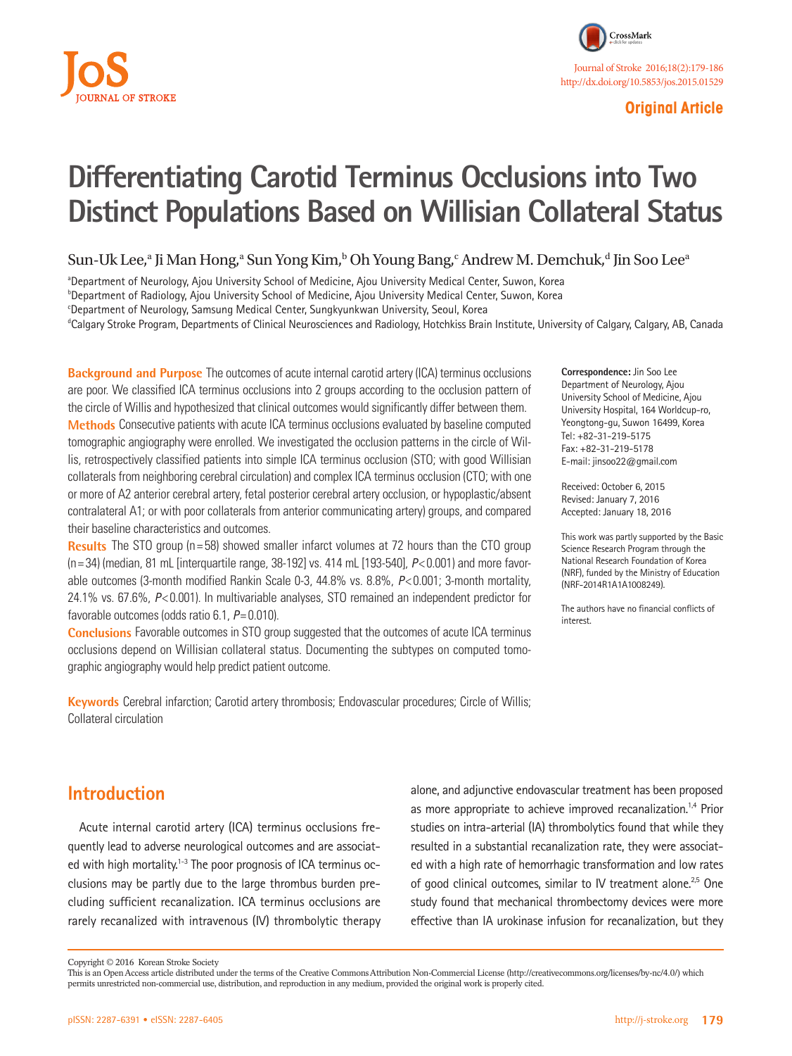

# **Original Article**

# **Differentiating Carotid Terminus Occlusions into Two Distinct Populations Based on Willisian Collateral Status**

Sun-Uk Lee,<sup>a</sup> Ji Man Hong,<sup>a</sup> Sun Yong Kim,<sup>b</sup> Oh Young Bang,<sup>c</sup> Andrew M. Demchuk,<sup>d</sup> Jin Soo Lee<sup>a</sup>

a Department of Neurology, Ajou University School of Medicine, Ajou University Medical Center, Suwon, Korea

b Department of Radiology, Ajou University School of Medicine, Ajou University Medical Center, Suwon, Korea

c Department of Neurology, Samsung Medical Center, Sungkyunkwan University, Seoul, Korea

d Calgary Stroke Program, Departments of Clinical Neurosciences and Radiology, Hotchkiss Brain Institute, University of Calgary, Calgary, AB, Canada

**Background and Purpose** The outcomes of acute internal carotid artery (ICA) terminus occlusions are poor. We classified ICA terminus occlusions into 2 groups according to the occlusion pattern of the circle of Willis and hypothesized that clinical outcomes would significantly differ between them. **Methods** Consecutive patients with acute ICA terminus occlusions evaluated by baseline computed tomographic angiography were enrolled. We investigated the occlusion patterns in the circle of Willis, retrospectively classified patients into simple ICA terminus occlusion (STO; with good Willisian collaterals from neighboring cerebral circulation) and complex ICA terminus occlusion (CTO; with one or more of A2 anterior cerebral artery, fetal posterior cerebral artery occlusion, or hypoplastic/absent contralateral A1; or with poor collaterals from anterior communicating artery) groups, and compared their baseline characteristics and outcomes.

**Results** The STO group (n=58) showed smaller infarct volumes at 72 hours than the CTO group (n= 34) (median, 81 mL [interquartile range, 38-192] vs. 414 mL [193-540], *P*< 0.001) and more favorable outcomes (3-month modified Rankin Scale 0-3, 44.8% vs. 8.8%, *P*< 0.001; 3-month mortality, 24.1% vs. 67.6%, *P*< 0.001). In multivariable analyses, STO remained an independent predictor for favorable outcomes (odds ratio 6.1, *P*= 0.010).

**Conclusions** Favorable outcomes in STO group suggested that the outcomes of acute ICA terminus occlusions depend on Willisian collateral status. Documenting the subtypes on computed tomographic angiography would help predict patient outcome.

**Keywords** Cerebral infarction; Carotid artery thrombosis; Endovascular procedures; Circle of Willis; Collateral circulation

**Correspondence:** Jin Soo Lee Department of Neurology, Ajou University School of Medicine, Ajou University Hospital, 164 Worldcup-ro, Yeongtong-gu, Suwon 16499, Korea Tel: +82-31-219-5175 Fax: +82-31-219-5178 E-mail: jinsoo22@gmail.com

Received: October 6, 2015 Revised: January 7, 2016 Accepted: January 18, 2016

This work was partly supported by the Basic Science Research Program through the National Research Foundation of Korea (NRF), funded by the Ministry of Education (NRF-2014R1A1A1008249).

The authors have no financial conflicts of interest.

# **Introduction**

Acute internal carotid artery (ICA) terminus occlusions frequently lead to adverse neurological outcomes and are associated with high mortality.<sup>1-3</sup> The poor prognosis of ICA terminus occlusions may be partly due to the large thrombus burden precluding sufficient recanalization. ICA terminus occlusions are rarely recanalized with intravenous (IV) thrombolytic therapy

alone, and adjunctive endovascular treatment has been proposed as more appropriate to achieve improved recanalization.<sup>1,4</sup> Prior studies on intra-arterial (IA) thrombolytics found that while they resulted in a substantial recanalization rate, they were associated with a high rate of hemorrhagic transformation and low rates of good clinical outcomes, similar to IV treatment alone.<sup>2,5</sup> One study found that mechanical thrombectomy devices were more effective than IA urokinase infusion for recanalization, but they

Copyright © 2016 Korean Stroke Society

This is an Open Access article distributed under the terms of the Creative Commons Attribution Non-Commercial License (http://creativecommons.org/licenses/by-nc/4.0/) which permits unrestricted non-commercial use, distribution, and reproduction in any medium, provided the original work is properly cited.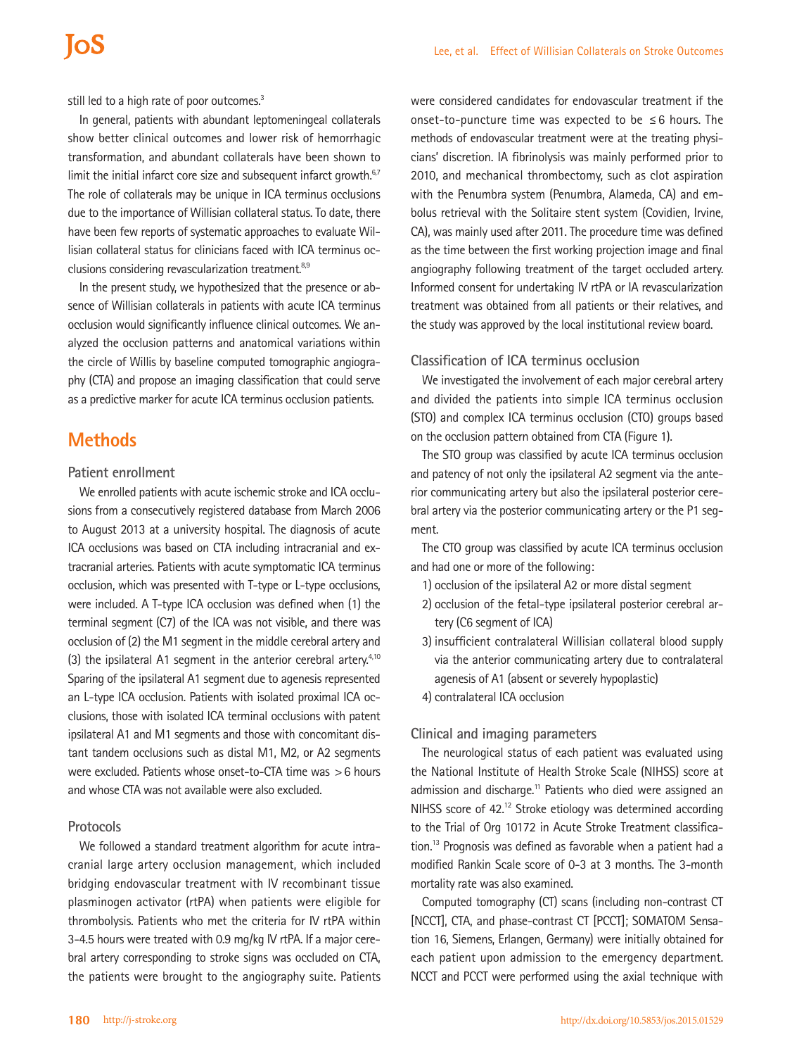still led to a high rate of poor outcomes.<sup>3</sup>

In general, patients with abundant leptomeningeal collaterals show better clinical outcomes and lower risk of hemorrhagic transformation, and abundant collaterals have been shown to limit the initial infarct core size and subsequent infarct growth. $67$ The role of collaterals may be unique in ICA terminus occlusions due to the importance of Willisian collateral status. To date, there have been few reports of systematic approaches to evaluate Willisian collateral status for clinicians faced with ICA terminus occlusions considering revascularization treatment.<sup>8,9</sup>

In the present study, we hypothesized that the presence or absence of Willisian collaterals in patients with acute ICA terminus occlusion would significantly influence clinical outcomes. We analyzed the occlusion patterns and anatomical variations within the circle of Willis by baseline computed tomographic angiography (CTA) and propose an imaging classification that could serve as a predictive marker for acute ICA terminus occlusion patients.

# **Methods**

## **Patient enrollment**

We enrolled patients with acute ischemic stroke and ICA occlusions from a consecutively registered database from March 2006 to August 2013 at a university hospital. The diagnosis of acute ICA occlusions was based on CTA including intracranial and extracranial arteries. Patients with acute symptomatic ICA terminus occlusion, which was presented with T-type or L-type occlusions, were included. A T-type ICA occlusion was defined when (1) the terminal segment (C7) of the ICA was not visible, and there was occlusion of (2) the M1 segment in the middle cerebral artery and (3) the ipsilateral A1 segment in the anterior cerebral artery. $4,10$ Sparing of the ipsilateral A1 segment due to agenesis represented an L-type ICA occlusion. Patients with isolated proximal ICA occlusions, those with isolated ICA terminal occlusions with patent ipsilateral A1 and M1 segments and those with concomitant distant tandem occlusions such as distal M1, M2, or A2 segments were excluded. Patients whose onset-to-CTA time was >6 hours and whose CTA was not available were also excluded.

### **Protocols**

We followed a standard treatment algorithm for acute intracranial large artery occlusion management, which included bridging endovascular treatment with IV recombinant tissue plasminogen activator (rtPA) when patients were eligible for thrombolysis. Patients who met the criteria for IV rtPA within 3-4.5 hours were treated with 0.9 mg/kg IV rtPA. If a major cerebral artery corresponding to stroke signs was occluded on CTA, the patients were brought to the angiography suite. Patients

were considered candidates for endovascular treatment if the onset-to-puncture time was expected to be ≤6 hours. The methods of endovascular treatment were at the treating physicians' discretion. IA fibrinolysis was mainly performed prior to 2010, and mechanical thrombectomy, such as clot aspiration with the Penumbra system (Penumbra, Alameda, CA) and embolus retrieval with the Solitaire stent system (Covidien, Irvine, CA), was mainly used after 2011. The procedure time was defined as the time between the first working projection image and final angiography following treatment of the target occluded artery. Informed consent for undertaking IV rtPA or IA revascularization treatment was obtained from all patients or their relatives, and the study was approved by the local institutional review board.

### **Classification of ICA terminus occlusion**

We investigated the involvement of each major cerebral artery and divided the patients into simple ICA terminus occlusion (STO) and complex ICA terminus occlusion (CTO) groups based on the occlusion pattern obtained from CTA (Figure 1).

The STO group was classified by acute ICA terminus occlusion and patency of not only the ipsilateral A2 segment via the anterior communicating artery but also the ipsilateral posterior cerebral artery via the posterior communicating artery or the P1 segment.

The CTO group was classified by acute ICA terminus occlusion and had one or more of the following:

- 1) occlusion of the ipsilateral A2 or more distal segment
- 2) occlusion of the fetal-type ipsilateral posterior cerebral artery (C6 segment of ICA)
- 3) insufficient contralateral Willisian collateral blood supply via the anterior communicating artery due to contralateral agenesis of A1 (absent or severely hypoplastic)
- 4) contralateral ICA occlusion

### **Clinical and imaging parameters**

The neurological status of each patient was evaluated using the National Institute of Health Stroke Scale (NIHSS) score at admission and discharge.<sup>11</sup> Patients who died were assigned an NIHSS score of 42.<sup>12</sup> Stroke etiology was determined according to the Trial of Org 10172 in Acute Stroke Treatment classification.13 Prognosis was defined as favorable when a patient had a modified Rankin Scale score of 0-3 at 3 months. The 3-month mortality rate was also examined.

Computed tomography (CT) scans (including non-contrast CT [NCCT], CTA, and phase-contrast CT [PCCT]; SOMATOM Sensation 16, Siemens, Erlangen, Germany) were initially obtained for each patient upon admission to the emergency department. NCCT and PCCT were performed using the axial technique with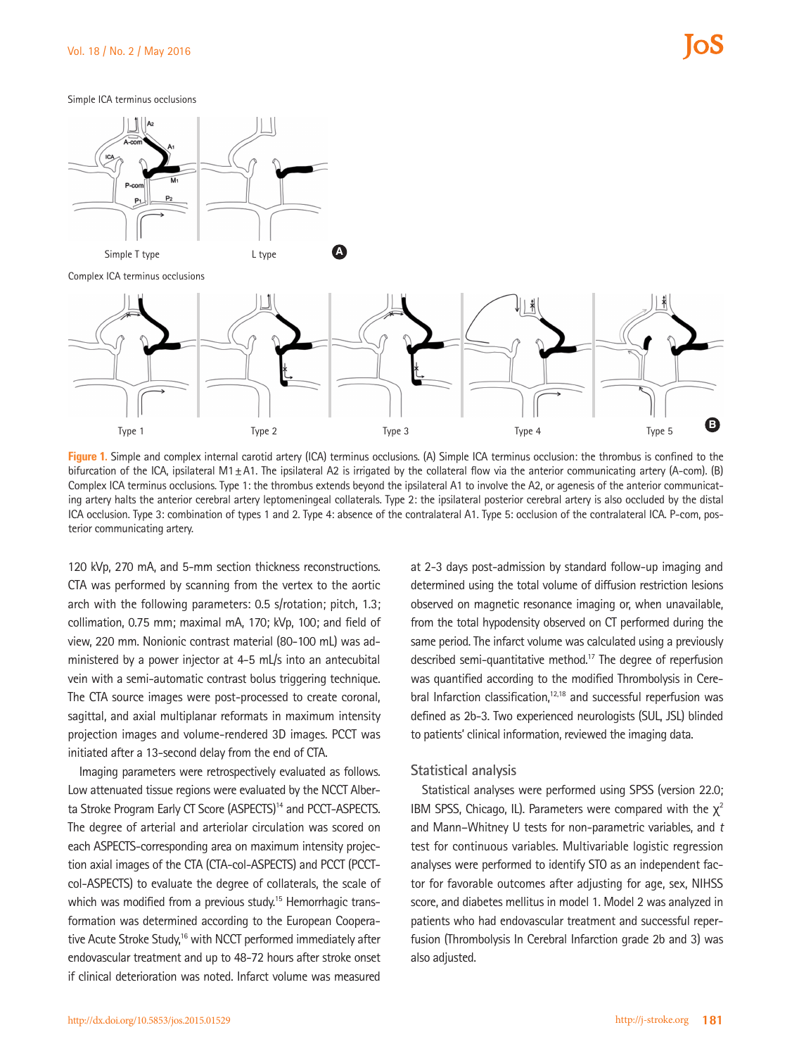Simple ICA terminus occlusions



Complex ICA terminus occlusions



**Figure 1.** Simple and complex internal carotid artery (ICA) terminus occlusions. (A) Simple ICA terminus occlusion: the thrombus is confined to the bifurcation of the ICA, ipsilateral M1 $\pm$ A1. The ipsilateral A2 is irrigated by the collateral flow via the anterior communicating artery (A-com). (B) Complex ICA terminus occlusions. Type 1: the thrombus extends beyond the ipsilateral A1 to involve the A2, or agenesis of the anterior communicating artery halts the anterior cerebral artery leptomeningeal collaterals. Type 2: the ipsilateral posterior cerebral artery is also occluded by the distal ICA occlusion. Type 3: combination of types 1 and 2. Type 4: absence of the contralateral A1. Type 5: occlusion of the contralateral ICA. P-com, posterior communicating artery.

120 kVp, 270 mA, and 5-mm section thickness reconstructions. CTA was performed by scanning from the vertex to the aortic arch with the following parameters: 0.5 s/rotation; pitch, 1.3; collimation, 0.75 mm; maximal mA, 170; kVp, 100; and field of view, 220 mm. Nonionic contrast material (80-100 mL) was administered by a power injector at 4-5 mL/s into an antecubital vein with a semi-automatic contrast bolus triggering technique. The CTA source images were post-processed to create coronal, sagittal, and axial multiplanar reformats in maximum intensity projection images and volume-rendered 3D images. PCCT was initiated after a 13-second delay from the end of CTA.

Imaging parameters were retrospectively evaluated as follows. Low attenuated tissue regions were evaluated by the NCCT Alberta Stroke Program Early CT Score (ASPECTS)<sup>14</sup> and PCCT-ASPECTS. The degree of arterial and arteriolar circulation was scored on each ASPECTS-corresponding area on maximum intensity projection axial images of the CTA (CTA-col-ASPECTS) and PCCT (PCCTcol-ASPECTS) to evaluate the degree of collaterals, the scale of which was modified from a previous study.<sup>15</sup> Hemorrhagic transformation was determined according to the European Cooperative Acute Stroke Study,<sup>16</sup> with NCCT performed immediately after endovascular treatment and up to 48-72 hours after stroke onset if clinical deterioration was noted. Infarct volume was measured

at 2-3 days post-admission by standard follow-up imaging and determined using the total volume of diffusion restriction lesions observed on magnetic resonance imaging or, when unavailable, from the total hypodensity observed on CT performed during the same period. The infarct volume was calculated using a previously described semi-quantitative method.17 The degree of reperfusion was quantified according to the modified Thrombolysis in Cerebral Infarction classification,<sup>12,18</sup> and successful reperfusion was defined as 2b-3. Two experienced neurologists (SUL, JSL) blinded to patients' clinical information, reviewed the imaging data.

### **Statistical analysis**

Statistical analyses were performed using SPSS (version 22.0; IBM SPSS, Chicago, IL). Parameters were compared with the  $\chi^2$ and Mann–Whitney U tests for non-parametric variables, and *t*  test for continuous variables. Multivariable logistic regression analyses were performed to identify STO as an independent factor for favorable outcomes after adjusting for age, sex, NIHSS score, and diabetes mellitus in model 1. Model 2 was analyzed in patients who had endovascular treatment and successful reperfusion (Thrombolysis In Cerebral Infarction grade 2b and 3) was also adjusted.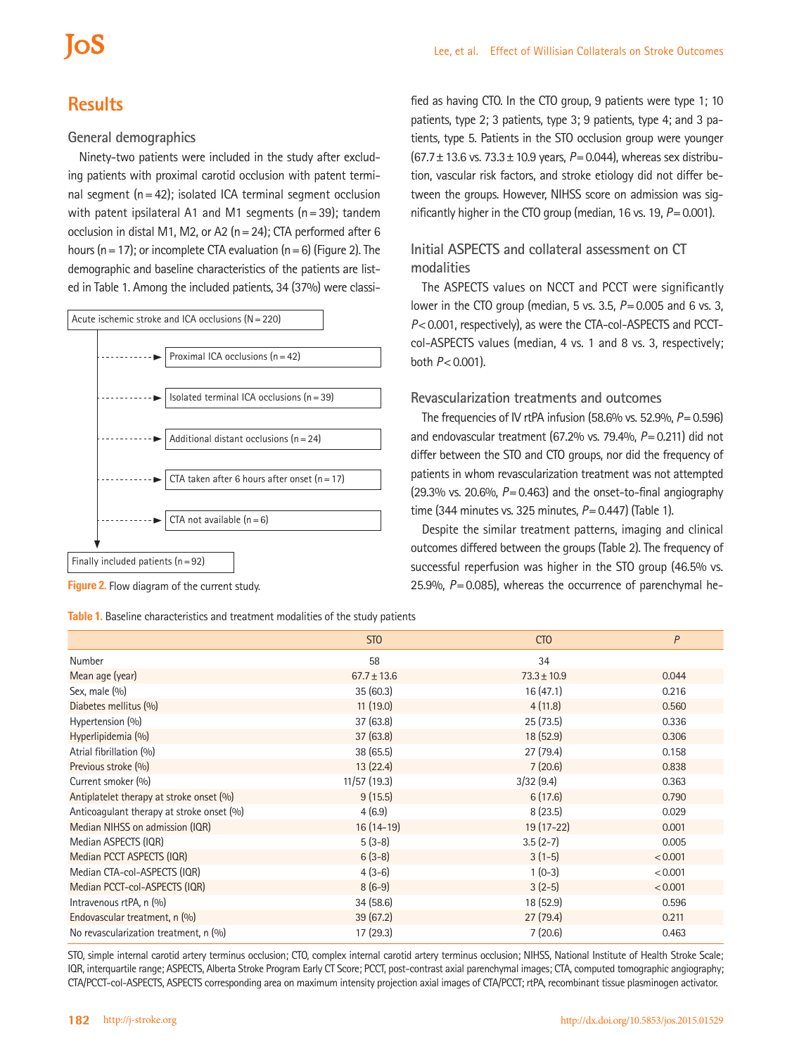# **Results**

## **General demographics**

Ninety-two patients were included in the study after excluding patients with proximal carotid occlusion with patent terminal segment  $(n=42)$ ; isolated ICA terminal segment occlusion with patent ipsilateral A1 and M1 segments  $(n=39)$ ; tandem occlusion in distal M1, M2, or A2 (n=24); CTA performed after 6 hours (n = 17); or incomplete CTA evaluation (n = 6) (Figure 2). The demographic and baseline characteristics of the patients are listed in Table 1. Among the included patients, 34 (37%) were classi-



**Figure 2.** Flow diagram of the current study.

**Table 1.** Baseline characteristics and treatment modalities of the study patients

fied as having CTO. In the CTO group, 9 patients were type 1; 10 patients, type 2; 3 patients, type 3; 9 patients, type 4; and 3 patients, type 5. Patients in the STO occlusion group were younger (67.7±13.6 vs. 73.3±10.9 years, *P*=0.044), whereas sex distribution, vascular risk factors, and stroke etiology did not differ between the groups. However, NIHSS score on admission was significantly higher in the CTO group (median, 16 vs. 19, *P*=0.001).

# **Initial ASPECTS and collateral assessment on CT modalities**

The ASPECTS values on NCCT and PCCT were significantly lower in the CTO group (median, 5 vs. 3.5, *P*=0.005 and 6 vs. 3, *P*<0.001, respectively), as were the CTA-col-ASPECTS and PCCTcol-ASPECTS values (median, 4 vs. 1 and 8 vs. 3, respectively; both *P*<0.001).

### **Revascularization treatments and outcomes**

The frequencies of IV rtPA infusion (58.6% vs. 52.9%, *P*=0.596) and endovascular treatment (67.2% vs. 79.4%, *P*=0.211) did not differ between the STO and CTO groups, nor did the frequency of patients in whom revascularization treatment was not attempted  $(29.3\%$  vs. 20.6%,  $P = 0.463$ ) and the onset-to-final angiography time (344 minutes vs. 325 minutes, *P*=0.447) (Table 1).

Despite the similar treatment patterns, imaging and clinical outcomes differed between the groups (Table 2). The frequency of successful reperfusion was higher in the STO group (46.5% vs. 25.9%, *P*=0.085), whereas the occurrence of parenchymal he-

|                                           | ST <sub>0</sub> | <b>CTO</b>      | P       |
|-------------------------------------------|-----------------|-----------------|---------|
| Number                                    | 58              | 34              |         |
| Mean age (year)                           | $67.7 \pm 13.6$ | $73.3 \pm 10.9$ | 0.044   |
| Sex, male (%)                             | 35(60.3)        | 16(47.1)        | 0.216   |
| Diabetes mellitus (%)                     | 11(19.0)        | 4(11.8)         | 0.560   |
| Hypertension (%)                          | 37(63.8)        | 25(73.5)        | 0.336   |
| Hyperlipidemia (%)                        | 37(63.8)        | 18(52.9)        | 0.306   |
| Atrial fibrillation (%)                   | 38(65.5)        | 27(79.4)        | 0.158   |
| Previous stroke (%)                       | 13(22.4)        | 7(20.6)         | 0.838   |
| Current smoker (%)                        | 11/57 (19.3)    | 3/32(9.4)       | 0.363   |
| Antiplatelet therapy at stroke onset (%)  | 9(15.5)         | 6(17.6)         | 0.790   |
| Anticoaqulant therapy at stroke onset (%) | 4(6.9)          | 8(23.5)         | 0.029   |
| Median NIHSS on admission (IQR)           | $16(14-19)$     | $19(17-22)$     | 0.001   |
| Median ASPECTS (IQR)                      | $5(3-8)$        | $3.5(2-7)$      | 0.005   |
| Median PCCT ASPECTS (IQR)                 | $6(3-8)$        | $3(1-5)$        | < 0.001 |
| Median CTA-col-ASPECTS (IQR)              | $4(3-6)$        | $1(0-3)$        | < 0.001 |
| Median PCCT-col-ASPECTS (IQR)             | $8(6-9)$        | $3(2-5)$        | < 0.001 |
| Intravenous rtPA, n (%)                   | 34(58.6)        | 18 (52.9)       | 0.596   |
| Endovascular treatment, n (%)             | 39(67.2)        | 27(79.4)        | 0.211   |
| No revascularization treatment, n (%)     | 17 (29.3)       | 7(20.6)         | 0.463   |

STO, simple internal carotid artery terminus occlusion; CTO, complex internal carotid artery terminus occlusion; NIHSS, National Institute of Health Stroke Scale; IQR, interquartile range; ASPECTS, Alberta Stroke Program Early CT Score; PCCT, post-contrast axial parenchymal images; CTA, computed tomographic angiography; CTA/PCCT-col-ASPECTS, ASPECTS corresponding area on maximum intensity projection axial images of CTA/PCCT; rtPA, recombinant tissue plasminogen activator.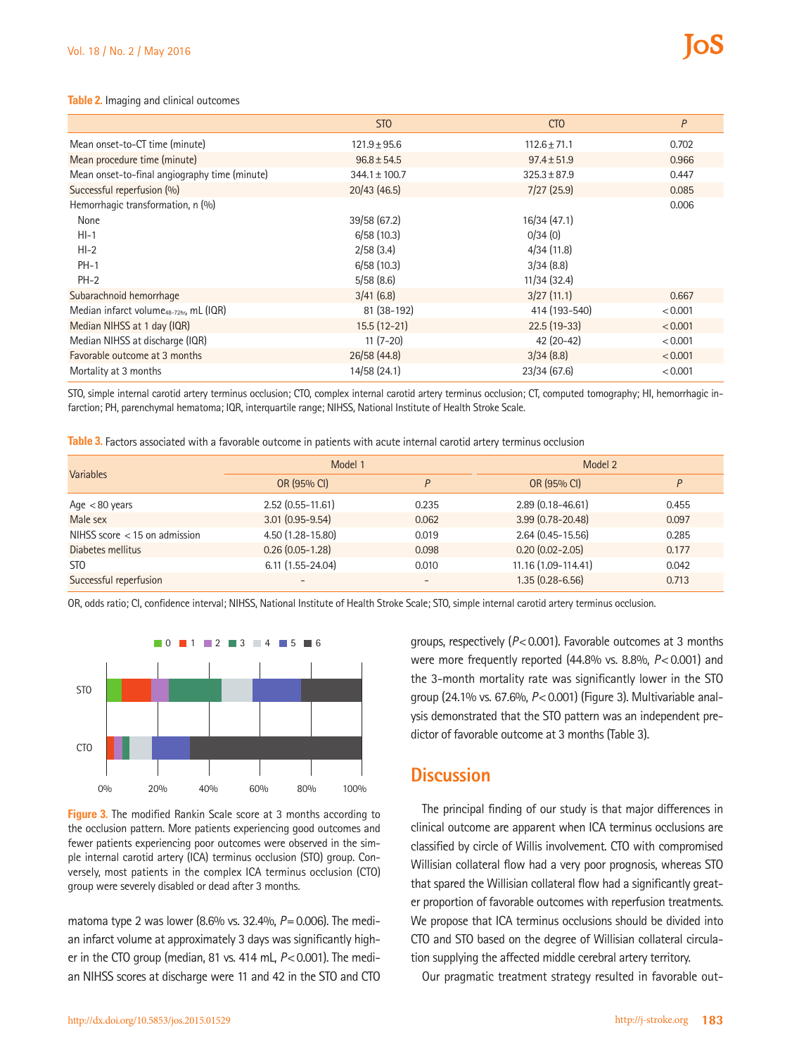### **Table 2.** Imaging and clinical outcomes

|                                                     | ST <sub>0</sub>   | CT <sub>O</sub>  | P       |  |
|-----------------------------------------------------|-------------------|------------------|---------|--|
| Mean onset-to-CT time (minute)                      | $121.9 \pm 95.6$  | $112.6 \pm 71.1$ | 0.702   |  |
| Mean procedure time (minute)                        | $96.8 \pm 54.5$   | $97.4 \pm 51.9$  | 0.966   |  |
| Mean onset-to-final angiography time (minute)       | $344.1 \pm 100.7$ | $325.3 \pm 87.9$ | 0.447   |  |
| Successful reperfusion (%)                          | 20/43(46.5)       | 7/27(25.9)       | 0.085   |  |
| Hemorrhagic transformation, n (%)                   |                   |                  | 0.006   |  |
| None                                                | 39/58 (67.2)      | 16/34(47.1)      |         |  |
| $HI-1$                                              | 6/58(10.3)        | 0/34(0)          |         |  |
| $HI-2$                                              | 2/58(3.4)         | 4/34(11.8)       |         |  |
| $PH-1$                                              | 6/58(10.3)        | 3/34(8.8)        |         |  |
| $PH-2$                                              | 5/58(8.6)         | 11/34(32.4)      |         |  |
| Subarachnoid hemorrhage                             | 3/41(6.8)         | 3/27(11.1)       | 0.667   |  |
| Median infarct volume <sub>48-72hr</sub> , mL (IQR) | 81 (38-192)       | 414 (193-540)    | < 0.001 |  |
| Median NIHSS at 1 day (IQR)                         | $15.5(12-21)$     | $22.5(19-33)$    | < 0.001 |  |
| Median NIHSS at discharge (IQR)                     | $11(7-20)$        | 42 (20-42)       | < 0.001 |  |
| Favorable outcome at 3 months                       | 26/58 (44.8)      | 3/34(8.8)        | < 0.001 |  |
| Mortality at 3 months                               | 14/58 (24.1)      | 23/34(67.6)      | < 0.001 |  |

STO, simple internal carotid artery terminus occlusion; CTO, complex internal carotid artery terminus occlusion; CT, computed tomography; HI, hemorrhagic infarction; PH, parenchymal hematoma; IQR, interquartile range; NIHSS, National Institute of Health Stroke Scale.

**Table 3.** Factors associated with a favorable outcome in patients with acute internal carotid artery terminus occlusion

| <b>Variables</b>                | Model 1              |       | Model 2              |       |
|---------------------------------|----------------------|-------|----------------------|-------|
|                                 | OR (95% CI)          | P     | OR (95% CI)          | P     |
| Age $< 80$ years                | $2.52$ (0.55-11.61)  | 0.235 | $2.89(0.18 - 46.61)$ | 0.455 |
| Male sex                        | $3.01(0.95 - 9.54)$  | 0.062 | $3.99(0.78 - 20.48)$ | 0.097 |
| NIHSS score $<$ 15 on admission | 4.50 (1.28-15.80)    | 0.019 | $2.64(0.45 - 15.56)$ | 0.285 |
| Diabetes mellitus               | $0.26(0.05-1.28)$    | 0.098 | $0.20(0.02 - 2.05)$  | 0.177 |
| ST <sub>0</sub>                 | $6.11(1.55 - 24.04)$ | 0.010 | 11.16 (1.09-114.41)  | 0.042 |
| Successful reperfusion          |                      |       | $1.35(0.28 - 6.56)$  | 0.713 |

OR, odds ratio; CI, confidence interval; NIHSS, National Institute of Health Stroke Scale; STO, simple internal carotid artery terminus occlusion.



**Figure 3.** The modified Rankin Scale score at 3 months according to the occlusion pattern. More patients experiencing good outcomes and fewer patients experiencing poor outcomes were observed in the simple internal carotid artery (ICA) terminus occlusion (STO) group. Conversely, most patients in the complex ICA terminus occlusion (CTO) group were severely disabled or dead after 3 months.

matoma type 2 was lower (8.6% vs. 32.4%, *P*=0.006). The median infarct volume at approximately 3 days was significantly higher in the CTO group (median, 81 vs. 414 mL, *P*<0.001). The median NIHSS scores at discharge were 11 and 42 in the STO and CTO

groups, respectively (*P*<0.001). Favorable outcomes at 3 months were more frequently reported (44.8% vs. 8.8%,  $P < 0.001$ ) and the 3-month mortality rate was significantly lower in the STO group (24.1% vs. 67.6%, *P*<0.001) (Figure 3). Multivariable analysis demonstrated that the STO pattern was an independent predictor of favorable outcome at 3 months (Table 3).

# **Discussion**

The principal finding of our study is that major differences in clinical outcome are apparent when ICA terminus occlusions are classified by circle of Willis involvement. CTO with compromised Willisian collateral flow had a very poor prognosis, whereas STO that spared the Willisian collateral flow had a significantly greater proportion of favorable outcomes with reperfusion treatments. We propose that ICA terminus occlusions should be divided into CTO and STO based on the degree of Willisian collateral circulation supplying the affected middle cerebral artery territory.

Our pragmatic treatment strategy resulted in favorable out-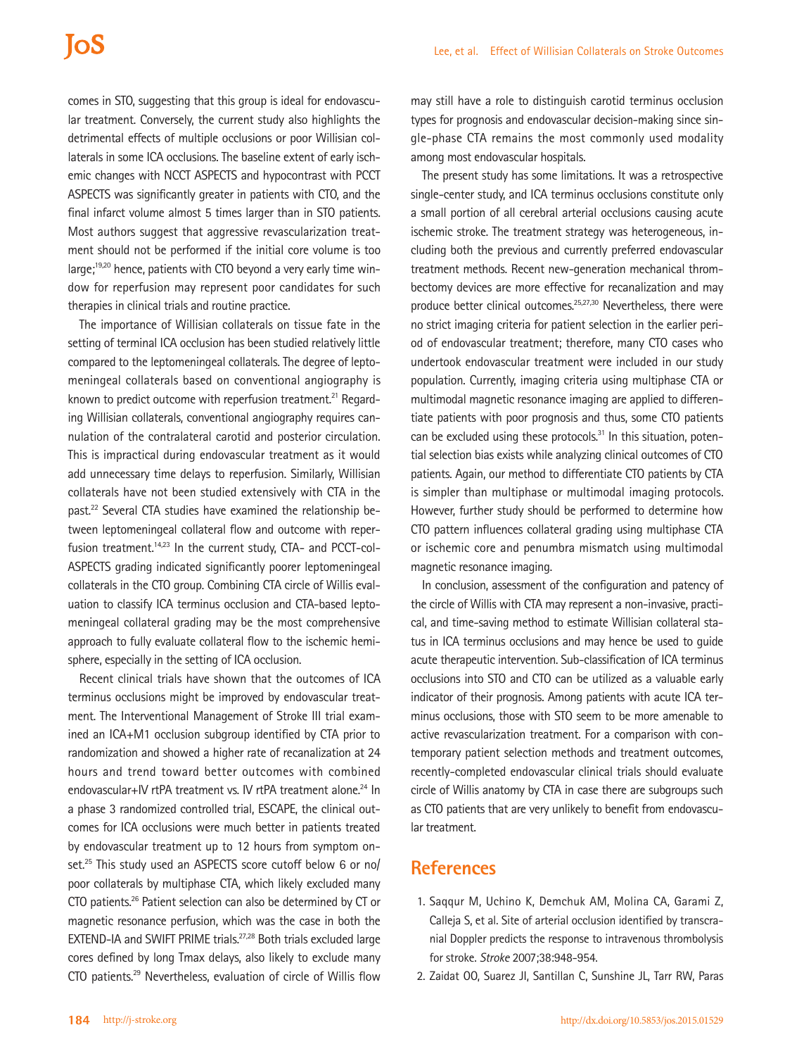comes in STO, suggesting that this group is ideal for endovascular treatment. Conversely, the current study also highlights the detrimental effects of multiple occlusions or poor Willisian collaterals in some ICA occlusions. The baseline extent of early ischemic changes with NCCT ASPECTS and hypocontrast with PCCT ASPECTS was significantly greater in patients with CTO, and the final infarct volume almost 5 times larger than in STO patients. Most authors suggest that aggressive revascularization treatment should not be performed if the initial core volume is too large;<sup>19,20</sup> hence, patients with CTO beyond a very early time window for reperfusion may represent poor candidates for such therapies in clinical trials and routine practice.

The importance of Willisian collaterals on tissue fate in the setting of terminal ICA occlusion has been studied relatively little compared to the leptomeningeal collaterals. The degree of leptomeningeal collaterals based on conventional angiography is known to predict outcome with reperfusion treatment.<sup>21</sup> Regarding Willisian collaterals, conventional angiography requires cannulation of the contralateral carotid and posterior circulation. This is impractical during endovascular treatment as it would add unnecessary time delays to reperfusion. Similarly, Willisian collaterals have not been studied extensively with CTA in the past.<sup>22</sup> Several CTA studies have examined the relationship between leptomeningeal collateral flow and outcome with reperfusion treatment.<sup>14,23</sup> In the current study, CTA- and PCCT-col-ASPECTS grading indicated significantly poorer leptomeningeal collaterals in the CTO group. Combining CTA circle of Willis evaluation to classify ICA terminus occlusion and CTA-based leptomeningeal collateral grading may be the most comprehensive approach to fully evaluate collateral flow to the ischemic hemisphere, especially in the setting of ICA occlusion.

Recent clinical trials have shown that the outcomes of ICA terminus occlusions might be improved by endovascular treatment. The Interventional Management of Stroke III trial examined an ICA+M1 occlusion subgroup identified by CTA prior to randomization and showed a higher rate of recanalization at 24 hours and trend toward better outcomes with combined endovascular+IV rtPA treatment vs. IV rtPA treatment alone.<sup>24</sup> In a phase 3 randomized controlled trial, ESCAPE, the clinical outcomes for ICA occlusions were much better in patients treated by endovascular treatment up to 12 hours from symptom onset.<sup>25</sup> This study used an ASPECTS score cutoff below 6 or no/ poor collaterals by multiphase CTA, which likely excluded many CTO patients.26 Patient selection can also be determined by CT or magnetic resonance perfusion, which was the case in both the EXTEND-IA and SWIFT PRIME trials.<sup>27,28</sup> Both trials excluded large cores defined by long Tmax delays, also likely to exclude many CTO patients.29 Nevertheless, evaluation of circle of Willis flow

may still have a role to distinguish carotid terminus occlusion types for prognosis and endovascular decision-making since single-phase CTA remains the most commonly used modality among most endovascular hospitals.

The present study has some limitations. It was a retrospective single-center study, and ICA terminus occlusions constitute only a small portion of all cerebral arterial occlusions causing acute ischemic stroke. The treatment strategy was heterogeneous, including both the previous and currently preferred endovascular treatment methods. Recent new-generation mechanical thrombectomy devices are more effective for recanalization and may produce better clinical outcomes.<sup>25,27,30</sup> Nevertheless, there were no strict imaging criteria for patient selection in the earlier period of endovascular treatment; therefore, many CTO cases who undertook endovascular treatment were included in our study population. Currently, imaging criteria using multiphase CTA or multimodal magnetic resonance imaging are applied to differentiate patients with poor prognosis and thus, some CTO patients can be excluded using these protocols. $31$  In this situation, potential selection bias exists while analyzing clinical outcomes of CTO patients. Again, our method to differentiate CTO patients by CTA is simpler than multiphase or multimodal imaging protocols. However, further study should be performed to determine how CTO pattern influences collateral grading using multiphase CTA or ischemic core and penumbra mismatch using multimodal magnetic resonance imaging.

In conclusion, assessment of the configuration and patency of the circle of Willis with CTA may represent a non-invasive, practical, and time-saving method to estimate Willisian collateral status in ICA terminus occlusions and may hence be used to guide acute therapeutic intervention. Sub-classification of ICA terminus occlusions into STO and CTO can be utilized as a valuable early indicator of their prognosis. Among patients with acute ICA terminus occlusions, those with STO seem to be more amenable to active revascularization treatment. For a comparison with contemporary patient selection methods and treatment outcomes, recently-completed endovascular clinical trials should evaluate circle of Willis anatomy by CTA in case there are subgroups such as CTO patients that are very unlikely to benefit from endovascular treatment.

# **References**

- 1. Saqqur M, Uchino K, Demchuk AM, Molina CA, Garami Z, Calleja S, et al. Site of arterial occlusion identified by transcranial Doppler predicts the response to intravenous thrombolysis for stroke. *Stroke* 2007;38:948-954.
- 2. Zaidat OO, Suarez JI, Santillan C, Sunshine JL, Tarr RW, Paras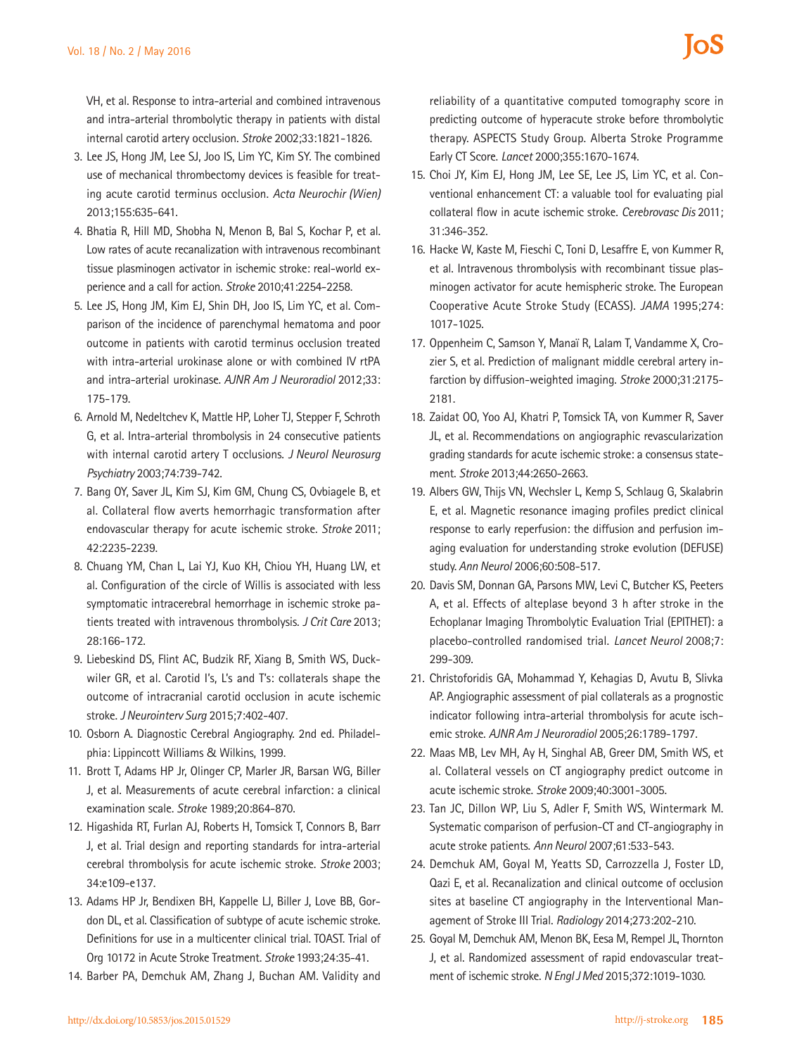VH, et al. Response to intra-arterial and combined intravenous and intra-arterial thrombolytic therapy in patients with distal internal carotid artery occlusion. *Stroke* 2002;33:1821-1826.

- 3. Lee JS, Hong JM, Lee SJ, Joo IS, Lim YC, Kim SY. The combined use of mechanical thrombectomy devices is feasible for treating acute carotid terminus occlusion. *Acta Neurochir (Wien)*  2013;155:635-641.
- 4. Bhatia R, Hill MD, Shobha N, Menon B, Bal S, Kochar P, et al. Low rates of acute recanalization with intravenous recombinant tissue plasminogen activator in ischemic stroke: real-world experience and a call for action. *Stroke* 2010;41:2254-2258.
- 5. Lee JS, Hong JM, Kim EJ, Shin DH, Joo IS, Lim YC, et al. Comparison of the incidence of parenchymal hematoma and poor outcome in patients with carotid terminus occlusion treated with intra-arterial urokinase alone or with combined IV rtPA and intra-arterial urokinase. *AJNR Am J Neuroradiol* 2012;33: 175-179.
- 6. Arnold M, Nedeltchev K, Mattle HP, Loher TJ, Stepper F, Schroth G, et al. Intra-arterial thrombolysis in 24 consecutive patients with internal carotid artery T occlusions. *J Neurol Neurosurg Psychiatry* 2003;74:739-742.
- 7. Bang OY, Saver JL, Kim SJ, Kim GM, Chung CS, Ovbiagele B, et al. Collateral flow averts hemorrhagic transformation after endovascular therapy for acute ischemic stroke. *Stroke* 2011; 42:2235-2239.
- 8. Chuang YM, Chan L, Lai YJ, Kuo KH, Chiou YH, Huang LW, et al. Configuration of the circle of Willis is associated with less symptomatic intracerebral hemorrhage in ischemic stroke patients treated with intravenous thrombolysis. *J Crit Care* 2013; 28:166-172.
- 9. Liebeskind DS, Flint AC, Budzik RF, Xiang B, Smith WS, Duckwiler GR, et al. Carotid I's, L's and T's: collaterals shape the outcome of intracranial carotid occlusion in acute ischemic stroke. *J Neurointerv Surg* 2015;7:402-407.
- 10. Osborn A. Diagnostic Cerebral Angiography. 2nd ed. Philadelphia: Lippincott Williams & Wilkins, 1999.
- 11. Brott T, Adams HP Jr, Olinger CP, Marler JR, Barsan WG, Biller J, et al. Measurements of acute cerebral infarction: a clinical examination scale. *Stroke* 1989;20:864-870.
- 12. Higashida RT, Furlan AJ, Roberts H, Tomsick T, Connors B, Barr J, et al. Trial design and reporting standards for intra-arterial cerebral thrombolysis for acute ischemic stroke. *Stroke* 2003; 34:e109-e137.
- 13. Adams HP Jr, Bendixen BH, Kappelle LJ, Biller J, Love BB, Gordon DL, et al. Classification of subtype of acute ischemic stroke. Definitions for use in a multicenter clinical trial. TOAST. Trial of Org 10172 in Acute Stroke Treatment. *Stroke* 1993;24:35-41.
- 14. Barber PA, Demchuk AM, Zhang J, Buchan AM. Validity and

reliability of a quantitative computed tomography score in predicting outcome of hyperacute stroke before thrombolytic therapy. ASPECTS Study Group. Alberta Stroke Programme Early CT Score. *Lancet* 2000;355:1670-1674.

- 15. Choi JY, Kim EJ, Hong JM, Lee SE, Lee JS, Lim YC, et al. Conventional enhancement CT: a valuable tool for evaluating pial collateral flow in acute ischemic stroke. *Cerebrovasc Dis* 2011; 31:346-352.
- 16. Hacke W, Kaste M, Fieschi C, Toni D, Lesaffre E, von Kummer R, et al. Intravenous thrombolysis with recombinant tissue plasminogen activator for acute hemispheric stroke. The European Cooperative Acute Stroke Study (ECASS). *JAMA* 1995;274: 1017-1025.
- 17. Oppenheim C, Samson Y, Manaï R, Lalam T, Vandamme X, Crozier S, et al. Prediction of malignant middle cerebral artery infarction by diffusion-weighted imaging. *Stroke* 2000;31:2175- 2181.
- 18. Zaidat OO, Yoo AJ, Khatri P, Tomsick TA, von Kummer R, Saver JL, et al. Recommendations on angiographic revascularization grading standards for acute ischemic stroke: a consensus statement. *Stroke* 2013;44:2650-2663.
- 19. Albers GW, Thijs VN, Wechsler L, Kemp S, Schlaug G, Skalabrin E, et al. Magnetic resonance imaging profiles predict clinical response to early reperfusion: the diffusion and perfusion imaging evaluation for understanding stroke evolution (DEFUSE) study. *Ann Neurol* 2006;60:508-517.
- 20. Davis SM, Donnan GA, Parsons MW, Levi C, Butcher KS, Peeters A, et al. Effects of alteplase beyond 3 h after stroke in the Echoplanar Imaging Thrombolytic Evaluation Trial (EPITHET): a placebo-controlled randomised trial. *Lancet Neurol* 2008;7: 299-309.
- 21. Christoforidis GA, Mohammad Y, Kehagias D, Avutu B, Slivka AP. Angiographic assessment of pial collaterals as a prognostic indicator following intra-arterial thrombolysis for acute ischemic stroke. *AJNR Am J Neuroradiol* 2005;26:1789-1797.
- 22. Maas MB, Lev MH, Ay H, Singhal AB, Greer DM, Smith WS, et al. Collateral vessels on CT angiography predict outcome in acute ischemic stroke. *Stroke* 2009;40:3001-3005.
- 23. Tan JC, Dillon WP, Liu S, Adler F, Smith WS, Wintermark M. Systematic comparison of perfusion-CT and CT-angiography in acute stroke patients. *Ann Neurol* 2007;61:533-543.
- 24. Demchuk AM, Goyal M, Yeatts SD, Carrozzella J, Foster LD, Qazi E, et al. Recanalization and clinical outcome of occlusion sites at baseline CT angiography in the Interventional Management of Stroke III Trial. *Radiology* 2014;273:202-210.
- 25. Goyal M, Demchuk AM, Menon BK, Eesa M, Rempel JL, Thornton J, et al. Randomized assessment of rapid endovascular treatment of ischemic stroke. *N Engl J Med* 2015;372:1019-1030.